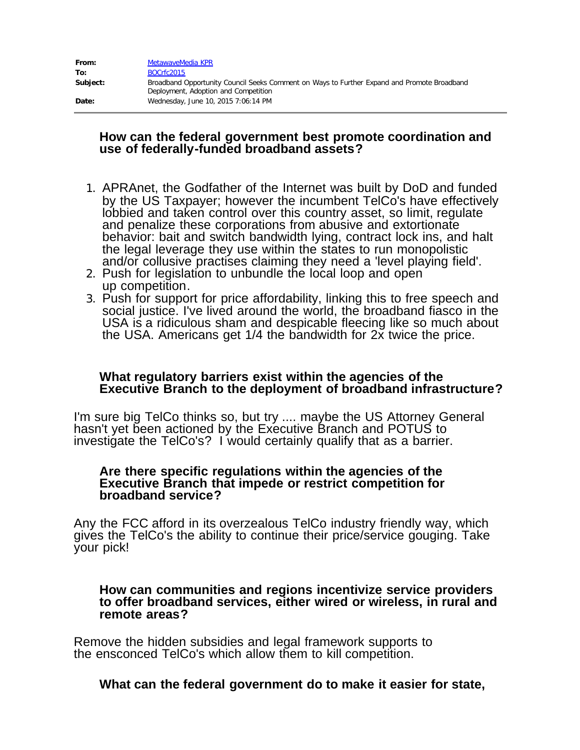| From:    | MetawaveMedia KPR                                                                                                                   |
|----------|-------------------------------------------------------------------------------------------------------------------------------------|
| To:      | BOCrfc2015                                                                                                                          |
| Subject: | Broadband Opportunity Council Seeks Comment on Ways to Further Expand and Promote Broadband<br>Deployment, Adoption and Competition |
| Date:    | Wednesday, June 10, 2015 7:06:14 PM                                                                                                 |

## **How can the federal government best promote coordination and use of federally-funded broadband assets?**

- 1. APRAnet, the Godfather of the Internet was built by DoD and funded by the US Taxpayer; however the incumbent TelCo's have effectively lobbied and taken control over this country asset, so limit, regulate and penalize these corporations from abusive and extortionate behavior: bait and switch bandwidth lying, contract lock ins, and halt the legal leverage they use within the states to run monopolistic and/or collusive practises claiming they need a 'level playing field'.
- 2. Push for legislation to unbundle the local loop and open
- 3. Push for support for price affordability, linking this to free speech and social justice. I've lived around the world, the broadband fiasco in the USA is a ridiculous sham and despicable fleecing like so much about the USA. Americans get 1/4 the bandwidth for 2x twice the price.

## **What regulatory barriers exist within the agencies of the Executive Branch to the deployment of broadband infrastructure?**

I'm sure big TelCo thinks so, but try .... maybe the US Attorney General hasn't yet been actioned by the Executive Branch and POTUS to investigate the TelCo's? I would certainly qualify that as a barrier.

#### **Are there specific regulations within the agencies of the Executive Branch that impede or restrict competition for broadband service?**

Any the FCC afford in its overzealous TelCo industry friendly way, which gives the TelCo's the ability to continue their price/service gouging. Take your pick!

#### **How can communities and regions incentivize service providers to offer broadband services, either wired or wireless, in rural and remote areas?**

Remove the hidden subsidies and legal framework supports to the ensconced TelCo's which allow them to kill competition.

# **What can the federal government do to make it easier for state,**